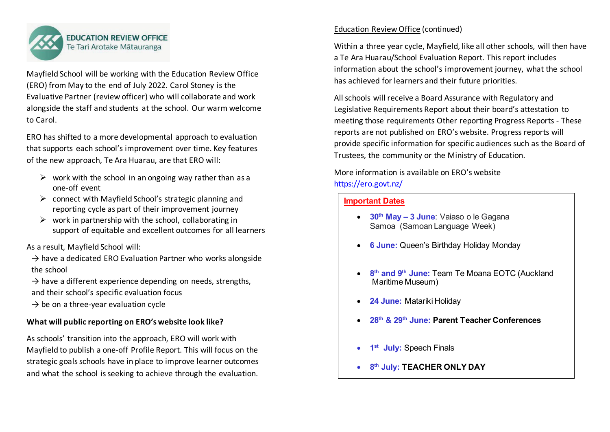

Mayfield School will be working with the Education Review Office (ERO) from May to the end of July 2022. Carol Stoney is the Evaluative Partner (review officer) who will collaborate and work alongside the staff and students at the school. Our warm welcome to Carol.

ERO has shifted to a more developmental approach to evaluation that supports each school's improvement over time. Key features of the new approach, Te Ara Huarau, are that ERO will:

- $\triangleright$  work with the school in an ongoing way rather than as a one-off event
- $\triangleright$  connect with Mayfield School's strategic planning and reporting cycle as part of their improvement journey
- $\triangleright$  work in partnership with the school, collaborating in support of equitable and excellent outcomes for all learners

As a result, Mayfield School will:

- $\rightarrow$  have a dedicated ERO Evaluation Partner who works alongside the school
- $\rightarrow$  have a different experience depending on needs, strengths, and their school's specific evaluation focus
- $\rightarrow$  be on a three-year evaluation cycle

## **What will public reporting on ERO's website look like?**

As schools' transition into the approach, ERO will work with Mayfield to publish a one-off Profile Report. This will focus on the strategic goals schools have in place to improve learner outcomes and what the school is seeking to achieve through the evaluation.

## Education Review Office (continued)

Within a three year cycle, Mayfield, like all other schools, will then have a Te Ara Huarau/School Evaluation Report. This report includes information about the school's improvement journey, what the school has achieved for learners and their future priorities.

All schools will receive a Board Assurance with Regulatory and Legislative Requirements Report about their board's attestation to meeting those requirements Other reporting Progress Reports - These reports are not published on ERO's website. Progress reports will provide specific information for specific audiences such as the Board of Trustees, the community or the Ministry of Education.

More information is available on ERO's website <https://ero.govt.nz/>

## **Important Dates**

- **30th May – 3 June**: Vaiaso o le Gagana Samoa (Samoan Language Week)
- **6 June:** Queen's Birthday Holiday Monday
- **8th and 9th June:** Team Te Moana EOTC (Auckland Maritime Museum)
- **24 June:** Matariki Holiday
- **28th & 29th June: Parent Teacher Conferences**
- **July: Speech Finals**
- **8th July: TEACHER ONLY DAY**